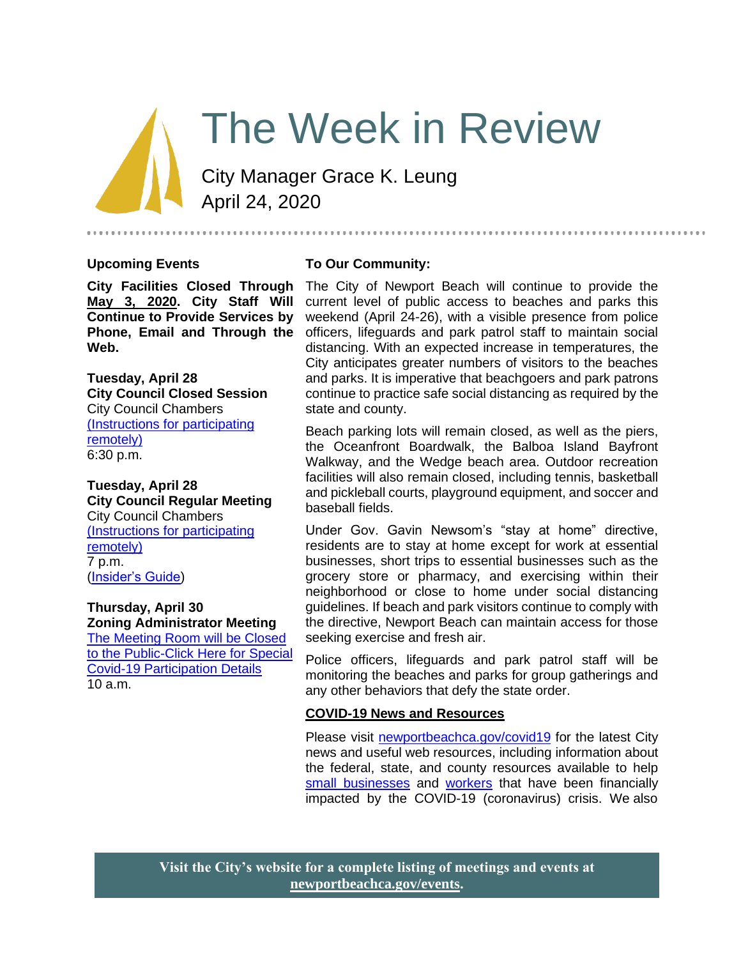# The Week in Review

City Manager Grace K. Leung April 24, 2020

#### **Upcoming Events**

**City Facilities Closed Through May 3, 2020. City Staff Will Continue to Provide Services by Phone, Email and Through the Web.**

**Tuesday, April 28 City Council Closed Session** City Council Chambers (Instructions for participating remotely) 6:30 p.m.

**Tuesday, April 28 City Council Regular Meeting** City Council Chambers (Instructions for participating remotely) 7 p.m.

[\(Insider's Guide\)](https://newportbeachca.gov/government/departments/city-manager-s-office/insider-s-guide)

#### **Thursday, April 30 Zoning Administrator Meeting**

[The Meeting Room will be Closed](https://www.newportbeachca.gov/government/departments/community-development/planning-division/zoning-administrator)  [to the Public-Click Here for Special](https://www.newportbeachca.gov/government/departments/community-development/planning-division/zoning-administrator)  [Covid-19 Participation Details](https://www.newportbeachca.gov/government/departments/community-development/planning-division/zoning-administrator)  $10a.m.$ 

#### **To Our Community:**

The City of Newport Beach will continue to provide the current level of public access to beaches and parks this weekend (April 24-26), with a visible presence from police officers, lifeguards and park patrol staff to maintain social distancing. With an expected increase in temperatures, the City anticipates greater numbers of visitors to the beaches and parks. It is imperative that beachgoers and park patrons continue to practice safe social distancing as required by the state and county.

.........................

Beach parking lots will remain closed, as well as the piers, the Oceanfront Boardwalk, the Balboa Island Bayfront Walkway, and the Wedge beach area. Outdoor recreation facilities will also remain closed, including tennis, basketball and pickleball courts, playground equipment, and soccer and baseball fields.

Under Gov. Gavin Newsom's "stay at home" directive, residents are to stay at home except for work at essential businesses, short trips to essential businesses such as the grocery store or pharmacy, and exercising within their neighborhood or close to home under social distancing guidelines. If beach and park visitors continue to comply with the directive, Newport Beach can maintain access for those seeking exercise and fresh air.

Police officers, lifeguards and park patrol staff will be monitoring the beaches and parks for group gatherings and any other behaviors that defy the state order.

#### **COVID-19 News and Resources**

Please visit [newportbeachca.gov/covid19](https://www.newportbeachca.gov/how-do-i/find/disaster-preparedness-information/disease-outbreak/-fsiteid-1) for the latest City news and useful web resources, including information about the federal, state, and county resources available to help [small businesses](https://www.newportbeachca.gov/government/departments/city-manager/economic-development/small-business-support) and [workers](https://www.newportbeachca.gov/government/departments/city-manager/economic-development/support-for-employees) that have been financially impacted by the COVID-19 (coronavirus) crisis. We also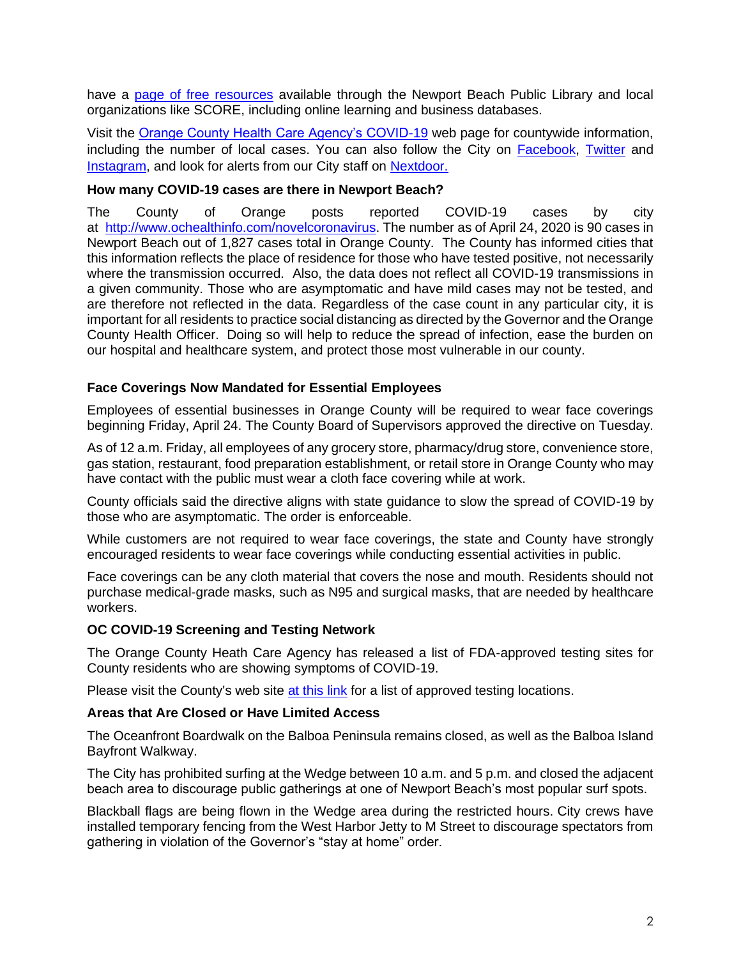have a [page of free resources](https://www.newportbeachca.gov/government/departments/city-manager/economic-development/small-business-support/business-employee-resources) available through the Newport Beach Public Library and local organizations like SCORE, including online learning and business databases.

Visit the [Orange County Health Care Agency's COVID-19](https://www.ochealthinfo.com/phs/about/epidasmt/epi/dip/prevention/novel_coronavirus) web page for countywide information, including the number of local cases. You can also follow the City on [Facebook,](https://www.facebook.com/pg/CityofNewportBeach) [Twitter](https://twitter.com/newportbeachgov) and [Instagram,](https://www.instagram.com/cityofnewportbeach/) and look for alerts from our City staff on [Nextdoor.](https://nextdoor.com/agency/city-of-newport-beach/?i=ltdytbjdbdkntfqttgcm)

### **How many COVID-19 cases are there in Newport Beach?**

The County of Orange posts reported COVID-19 cases by city at [http://www.ochealthinfo.com/novelcoronavirus.](http://www.ochealthinfo.com/novelcoronavirus) The number as of April 24, 2020 is 90 cases in Newport Beach out of 1,827 cases total in Orange County. The County has informed cities that this information reflects the place of residence for those who have tested positive, not necessarily where the transmission occurred. Also, the data does not reflect all COVID-19 transmissions in a given community. Those who are asymptomatic and have mild cases may not be tested, and are therefore not reflected in the data. Regardless of the case count in any particular city, it is important for all residents to practice social distancing as directed by the Governor and the Orange County Health Officer. Doing so will help to reduce the spread of infection, ease the burden on our hospital and healthcare system, and protect those most vulnerable in our county.

### **Face Coverings Now Mandated for Essential Employees**

Employees of essential businesses in Orange County will be required to wear face coverings beginning Friday, April 24. The County Board of Supervisors approved the directive on Tuesday.

As of 12 a.m. Friday, all employees of any grocery store, pharmacy/drug store, convenience store, gas station, restaurant, food preparation establishment, or retail store in Orange County who may have contact with the public must wear a cloth face covering while at work.

County officials said the directive aligns with state guidance to slow the spread of COVID-19 by those who are asymptomatic. The order is enforceable.

While customers are not required to wear face coverings, the state and County have strongly encouraged residents to wear face coverings while conducting essential activities in public.

Face coverings can be any cloth material that covers the nose and mouth. Residents should not purchase medical-grade masks, such as N95 and surgical masks, that are needed by healthcare workers.

#### **OC COVID-19 Screening and Testing Network**

The Orange County Heath Care Agency has released a list of FDA-approved testing sites for County residents who are showing symptoms of COVID-19.

Please visit the County's web site [at this link](https://occovid19.ochealthinfo.com/covid-19-testing-and-screening) for a list of approved testing locations.

#### **Areas that Are Closed or Have Limited Access**

The Oceanfront Boardwalk on the Balboa Peninsula remains closed, as well as the Balboa Island Bayfront Walkway.

The City has prohibited surfing at the Wedge between 10 a.m. and 5 p.m. and closed the adjacent beach area to discourage public gatherings at one of Newport Beach's most popular surf spots.

Blackball flags are being flown in the Wedge area during the restricted hours. City crews have installed temporary fencing from the West Harbor Jetty to M Street to discourage spectators from gathering in violation of the Governor's "stay at home" order.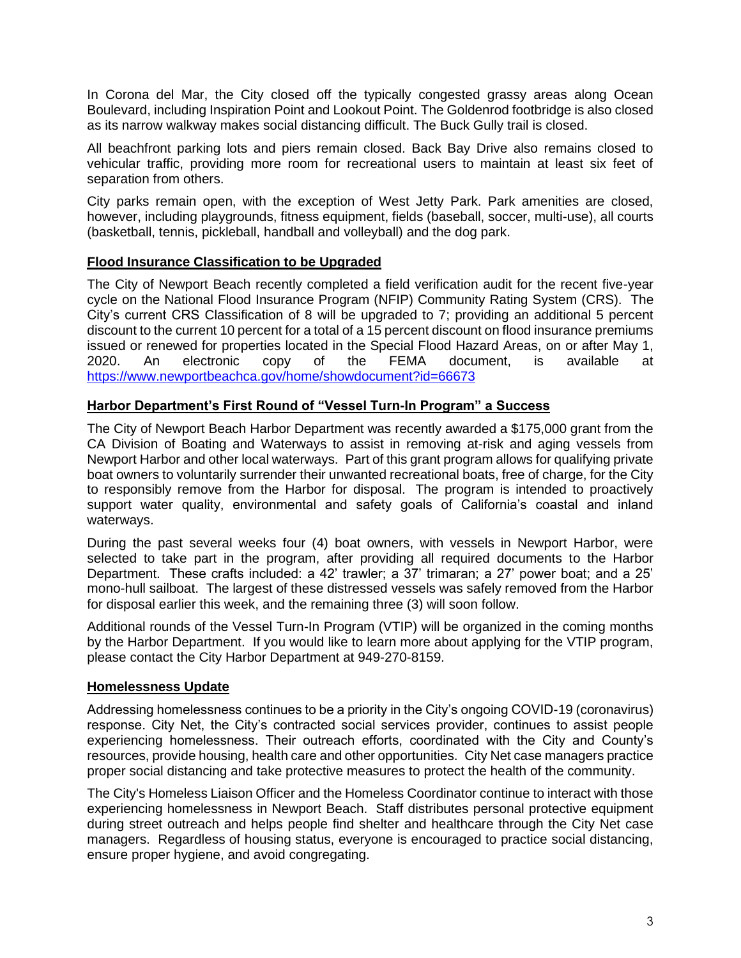In Corona del Mar, the City closed off the typically congested grassy areas along Ocean Boulevard, including Inspiration Point and Lookout Point. The Goldenrod footbridge is also closed as its narrow walkway makes social distancing difficult. The Buck Gully trail is closed.

All beachfront parking lots and piers remain closed. Back Bay Drive also remains closed to vehicular traffic, providing more room for recreational users to maintain at least six feet of separation from others.

City parks remain open, with the exception of West Jetty Park. Park amenities are closed, however, including playgrounds, fitness equipment, fields (baseball, soccer, multi-use), all courts (basketball, tennis, pickleball, handball and volleyball) and the dog park.

## **Flood Insurance Classification to be Upgraded**

The City of Newport Beach recently completed a field verification audit for the recent five-year cycle on the National Flood Insurance Program (NFIP) Community Rating System (CRS). The City's current CRS Classification of 8 will be upgraded to 7; providing an additional 5 percent discount to the current 10 percent for a total of a 15 percent discount on flood insurance premiums issued or renewed for properties located in the Special Flood Hazard Areas, on or after May 1, 2020. An electronic copy of the FEMA document, is available at <https://www.newportbeachca.gov/home/showdocument?id=66673>

## **Harbor Department's First Round of "Vessel Turn-In Program" a Success**

The City of Newport Beach Harbor Department was recently awarded a \$175,000 grant from the CA Division of Boating and Waterways to assist in removing at-risk and aging vessels from Newport Harbor and other local waterways. Part of this grant program allows for qualifying private boat owners to voluntarily surrender their unwanted recreational boats, free of charge, for the City to responsibly remove from the Harbor for disposal. The program is intended to proactively support water quality, environmental and safety goals of California's coastal and inland waterways.

During the past several weeks four (4) boat owners, with vessels in Newport Harbor, were selected to take part in the program, after providing all required documents to the Harbor Department. These crafts included: a 42' trawler; a 37' trimaran; a 27' power boat; and a 25' mono-hull sailboat. The largest of these distressed vessels was safely removed from the Harbor for disposal earlier this week, and the remaining three (3) will soon follow.

Additional rounds of the Vessel Turn-In Program (VTIP) will be organized in the coming months by the Harbor Department. If you would like to learn more about applying for the VTIP program, please contact the City Harbor Department at 949-270-8159.

## **Homelessness Update**

Addressing homelessness continues to be a priority in the City's ongoing COVID-19 (coronavirus) response. City Net, the City's contracted social services provider, continues to assist people experiencing homelessness. Their outreach efforts, coordinated with the City and County's resources, provide housing, health care and other opportunities. City Net case managers practice proper social distancing and take protective measures to protect the health of the community.

The City's Homeless Liaison Officer and the Homeless Coordinator continue to interact with those experiencing homelessness in Newport Beach. Staff distributes personal protective equipment during street outreach and helps people find shelter and healthcare through the City Net case managers. Regardless of housing status, everyone is encouraged to practice social distancing, ensure proper hygiene, and avoid congregating.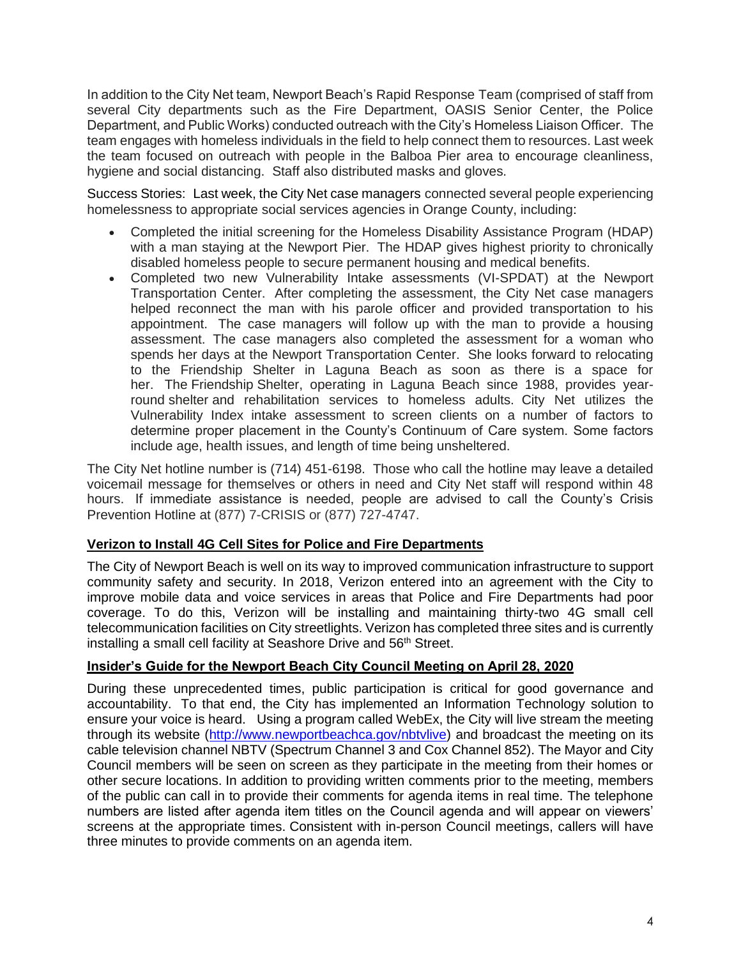In addition to the City Net team, Newport Beach's Rapid Response Team (comprised of staff from several City departments such as the Fire Department, OASIS Senior Center, the Police Department, and Public Works) conducted outreach with the City's Homeless Liaison Officer. The team engages with homeless individuals in the field to help connect them to resources. Last week the team focused on outreach with people in the Balboa Pier area to encourage cleanliness, hygiene and social distancing. Staff also distributed masks and gloves.

Success Stories: Last week, the City Net case managers connected several people experiencing homelessness to appropriate social services agencies in Orange County, including:

- Completed the initial screening for the Homeless Disability Assistance Program (HDAP) with a man staying at the Newport Pier. The HDAP gives highest priority to chronically disabled homeless people to secure permanent housing and medical benefits.
- Completed two new Vulnerability Intake assessments (VI-SPDAT) at the Newport Transportation Center. After completing the assessment, the City Net case managers helped reconnect the man with his parole officer and provided transportation to his appointment. The case managers will follow up with the man to provide a housing assessment. The case managers also completed the assessment for a woman who spends her days at the Newport Transportation Center. She looks forward to relocating to the Friendship Shelter in Laguna Beach as soon as there is a space for her. The Friendship Shelter, operating in Laguna Beach since 1988, provides yearround shelter and rehabilitation services to homeless adults. City Net utilizes the Vulnerability Index intake assessment to screen clients on a number of factors to determine proper placement in the County's Continuum of Care system. Some factors include age, health issues, and length of time being unsheltered.

The City Net hotline number is (714) 451-6198. Those who call the hotline may leave a detailed voicemail message for themselves or others in need and City Net staff will respond within 48 hours. If immediate assistance is needed, people are advised to call the County's Crisis Prevention Hotline at (877) 7-CRISIS or (877) 727-4747.

## **Verizon to Install 4G Cell Sites for Police and Fire Departments**

The City of Newport Beach is well on its way to improved communication infrastructure to support community safety and security. In 2018, Verizon entered into an agreement with the City to improve mobile data and voice services in areas that Police and Fire Departments had poor coverage. To do this, Verizon will be installing and maintaining thirty-two 4G small cell telecommunication facilities on City streetlights. Verizon has completed three sites and is currently installing a small cell facility at Seashore Drive and 56<sup>th</sup> Street.

## **Insider's Guide for the Newport Beach City Council Meeting on April 28, 2020**

During these unprecedented times, public participation is critical for good governance and accountability. To that end, the City has implemented an Information Technology solution to ensure your voice is heard. Using a program called WebEx, the City will live stream the meeting through its website [\(http://www.newportbeachca.gov/nbtvlive\)](http://www.newportbeachca.gov/nbtvlive) and broadcast the meeting on its cable television channel NBTV (Spectrum Channel 3 and Cox Channel 852). The Mayor and City Council members will be seen on screen as they participate in the meeting from their homes or other secure locations. In addition to providing written comments prior to the meeting, members of the public can call in to provide their comments for agenda items in real time. The telephone numbers are listed after agenda item titles on the Council agenda and will appear on viewers' screens at the appropriate times. Consistent with in-person Council meetings, callers will have three minutes to provide comments on an agenda item.